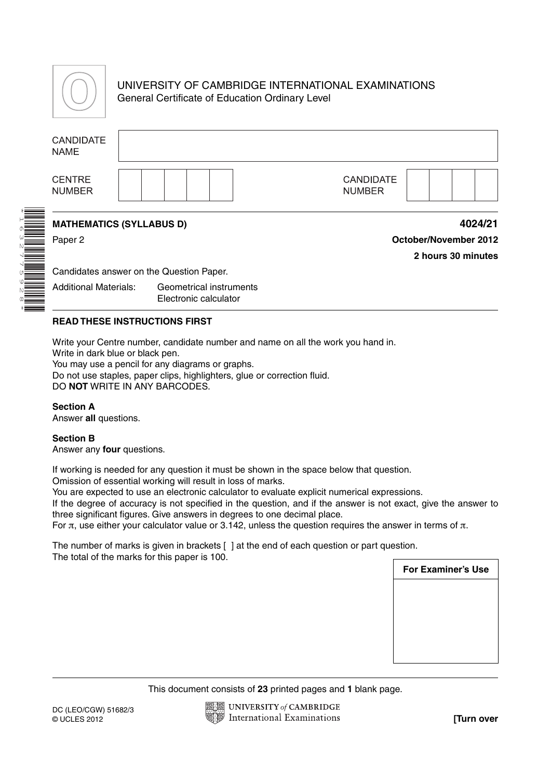

# UNIVERSITY OF CAMBRIDGE INTERNATIONAL EXAMINATIONS General Certificate of Education Ordinary Level

|                                                                                                                      | <b>CANDIDATE</b><br><b>NAME</b>            |  |  |                                                  |                                         |                                   |                    |  |
|----------------------------------------------------------------------------------------------------------------------|--------------------------------------------|--|--|--------------------------------------------------|-----------------------------------------|-----------------------------------|--------------------|--|
|                                                                                                                      | <b>CENTRE</b><br><b>NUMBER</b>             |  |  |                                                  |                                         | <b>CANDIDATE</b><br><b>NUMBER</b> |                    |  |
| <b>EN ANTIGATION AND STATE OF STATE OF STATE OF STATE OF STATE OF STATE OF STATE OF STATE OF STATE OF STATE OF S</b> | <b>MATHEMATICS (SYLLABUS D)</b><br>Paper 2 |  |  |                                                  | 4024/21<br><b>October/November 2012</b> |                                   |                    |  |
|                                                                                                                      | Candidates answer on the Question Paper.   |  |  |                                                  |                                         |                                   | 2 hours 30 minutes |  |
|                                                                                                                      | <b>Additional Materials:</b>               |  |  | Geometrical instruments<br>Electronic calculator |                                         |                                   |                    |  |

### **READ THESE INSTRUCTIONS FIRST**

Write your Centre number, candidate number and name on all the work you hand in. Write in dark blue or black pen. You may use a pencil for any diagrams or graphs. Do not use staples, paper clips, highlighters, glue or correction fluid. DO **NOT** WRITE IN ANY BARCODES.

#### **Section A**

\*1632775928\*

Answer **all** questions.

#### **Section B**

Answer any **four** questions.

If working is needed for any question it must be shown in the space below that question.

Omission of essential working will result in loss of marks.

You are expected to use an electronic calculator to evaluate explicit numerical expressions.

If the degree of accuracy is not specified in the question, and if the answer is not exact, give the answer to three significant figures. Give answers in degrees to one decimal place.

For π, use either your calculator value or 3.142, unless the question requires the answer in terms of π.

The number of marks is given in brackets [ ] at the end of each question or part question. The total of the marks for this paper is 100.



This document consists of **23** printed pages and **1** blank page.

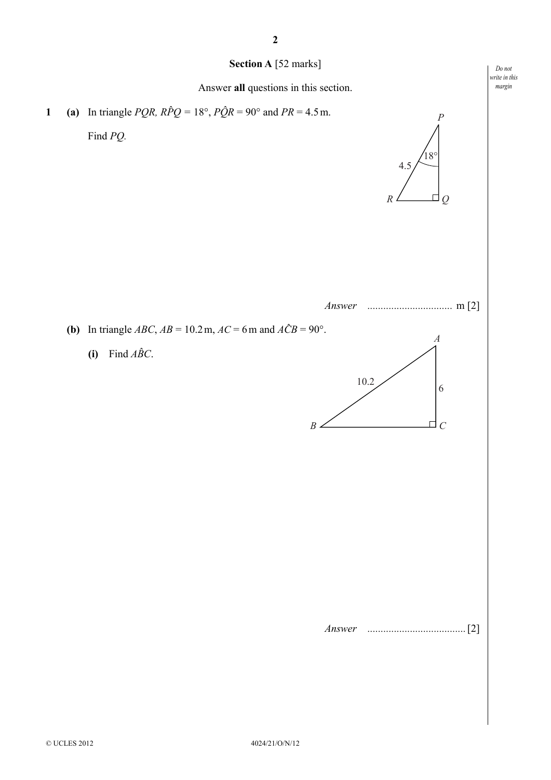

*Do not write in this* 

 **Section A** [52 marks]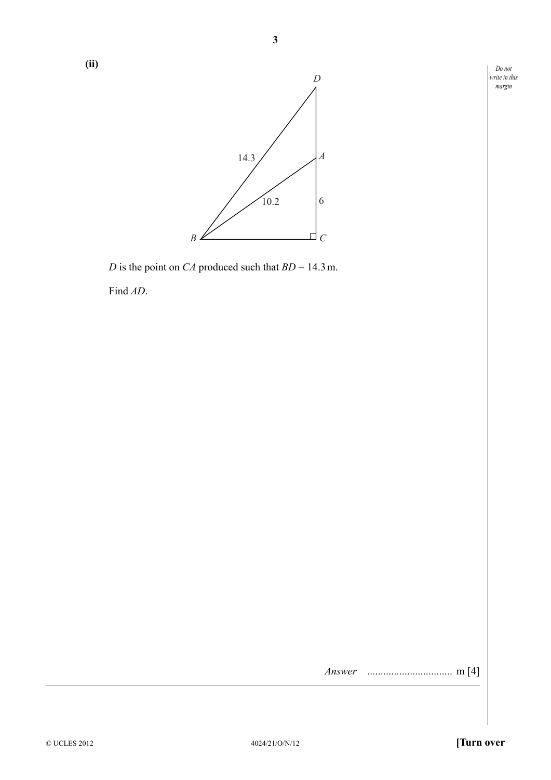

*D* is the point on *CA* produced such that  $BD = 14.3$  m. Find *AD*.

 *Answer ................................* m [4]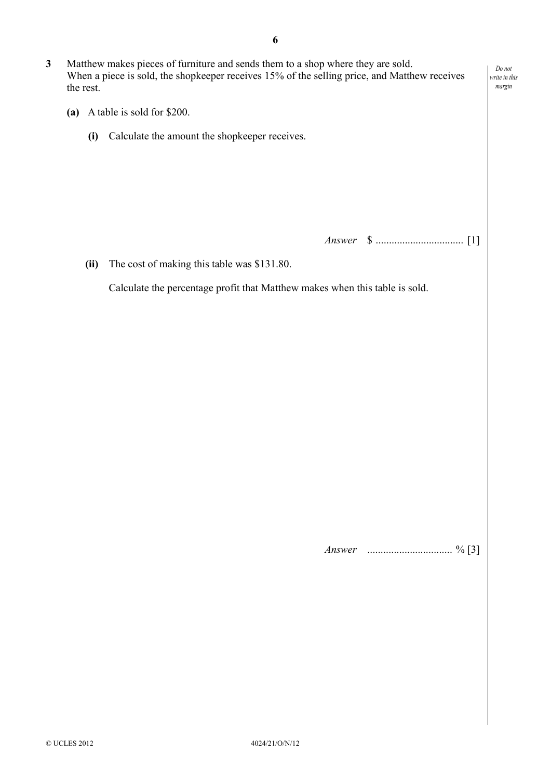- **3** Matthew makes pieces of furniture and sends them to a shop where they are sold. When a piece is sold, the shopkeeper receives 15% of the selling price, and Matthew receives the rest.
	- **(a)** A table is sold for \$200.
		- **(i)** Calculate the amount the shopkeeper receives.

 *Answer* \$ ................................. [1]

*Do not write in this margin*

 **(ii)** The cost of making this table was \$131.80.

Calculate the percentage profit that Matthew makes when this table is sold.

 *Answer ................................* % [3]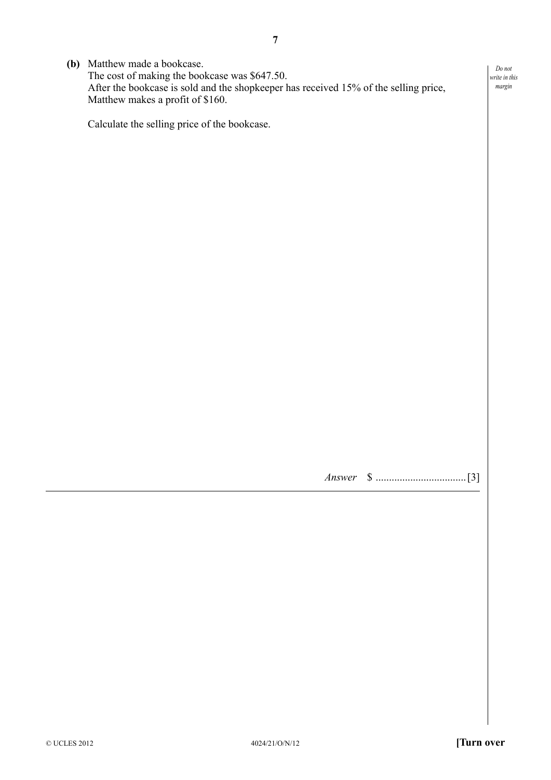**(b)** Matthew made a bookcase.

The cost of making the bookcase was \$647.50. After the bookcase is sold and the shopkeeper has received 15% of the selling price, Matthew makes a profit of \$160.

*Do not write in this margin*

Calculate the selling price of the bookcase.

 *Answer* \$ ..................................[3]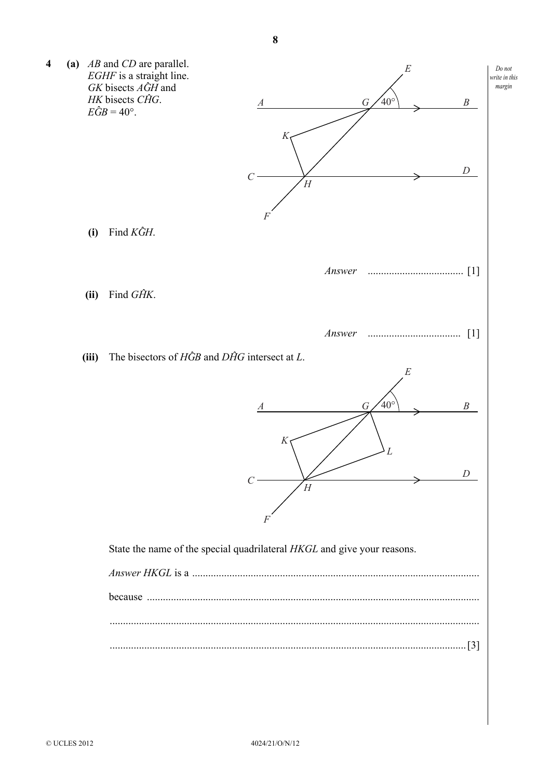*Do not write in this margin* **4 (a)** *AB* and *CD* are parallel. *EGHF* is a straight line. *GK* bisects *AG*ˆ*H* and *HK* bisects *CH*ˆ*G*.  $E\hat{G}B = 40^\circ$ .  $40^\circ$ *C A G*  $\bigvee$  40° \ *B D G F H K E*  $(i)$  Find  $K\hat{G}H$ .  *Answer* .................................... [1]  $(iii)$  Find *GHK*.  *Answer* ................................... [1] **(iii)** The bisectors of *HGB* and *DHG* intersect at *L*.  $40<sup>°</sup>$ *C A G*  $\bigvee$  40° \ *B D G F H K L E* State the name of the special quadrilateral *HKGL* and give your reasons. *Answer HKGL* is a ............................................................................................................ because ............................................................................................................................. ........................................................................................................................................... ......................................................................................................................................[3]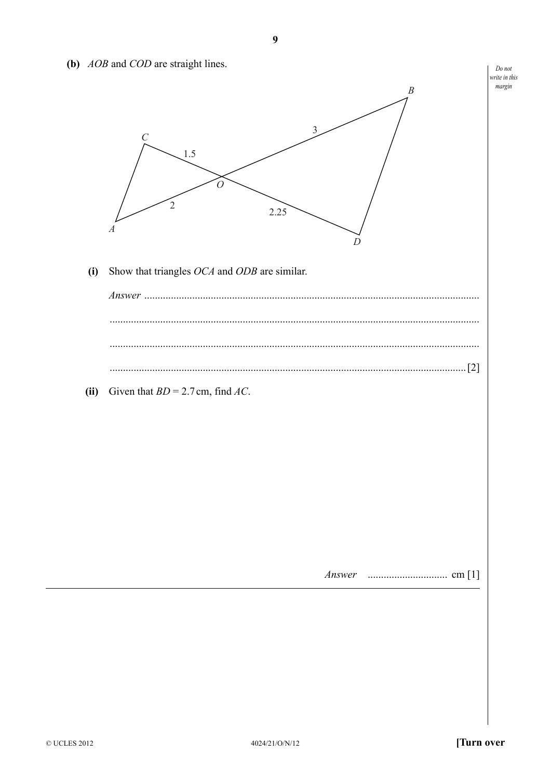(b) *AOB* and *COD* are straight lines.



Do not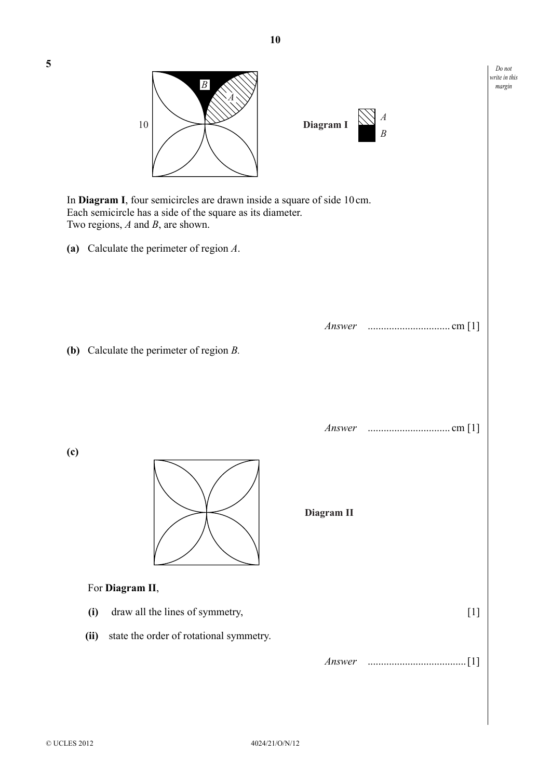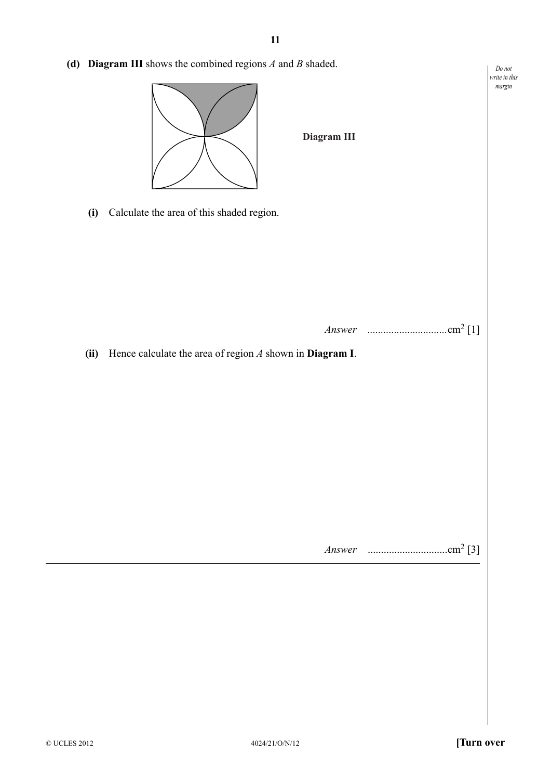**(d) Diagram III** shows the combined regions *A* and *B* shaded.



**Diagram III**

 **(i)** Calculate the area of this shaded region.

 *Answer ..............................*cm2 [1]

*Do not write in this margin*

 **(ii)** Hence calculate the area of region *A* shown in **Diagram I**.

 *Answer* ..............................cm2 [3]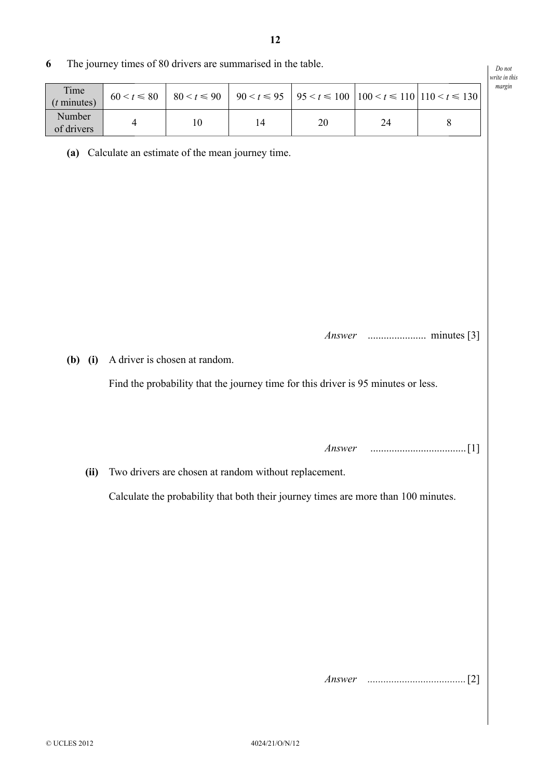| $1$ valified<br>of drivers                 | $\overline{\mathcal{A}}$                                                           | 10 | 14                                                  | 20     | 24 | 8   |  |  |  |
|--------------------------------------------|------------------------------------------------------------------------------------|----|-----------------------------------------------------|--------|----|-----|--|--|--|
|                                            |                                                                                    |    | (a) Calculate an estimate of the mean journey time. |        |    |     |  |  |  |
|                                            |                                                                                    |    |                                                     |        |    |     |  |  |  |
|                                            |                                                                                    |    |                                                     |        |    |     |  |  |  |
|                                            |                                                                                    |    |                                                     |        |    |     |  |  |  |
|                                            |                                                                                    |    |                                                     |        |    |     |  |  |  |
|                                            |                                                                                    |    |                                                     |        |    |     |  |  |  |
|                                            |                                                                                    |    |                                                     |        |    |     |  |  |  |
|                                            |                                                                                    |    |                                                     |        |    |     |  |  |  |
|                                            |                                                                                    |    |                                                     |        |    |     |  |  |  |
| A driver is chosen at random.<br>$(b)$ (i) |                                                                                    |    |                                                     |        |    |     |  |  |  |
|                                            | Find the probability that the journey time for this driver is 95 minutes or less.  |    |                                                     |        |    |     |  |  |  |
|                                            |                                                                                    |    |                                                     |        |    |     |  |  |  |
|                                            |                                                                                    |    |                                                     |        |    |     |  |  |  |
|                                            |                                                                                    |    |                                                     |        |    |     |  |  |  |
| (ii)                                       | Two drivers are chosen at random without replacement.                              |    |                                                     |        |    |     |  |  |  |
|                                            | Calculate the probability that both their journey times are more than 100 minutes. |    |                                                     |        |    |     |  |  |  |
|                                            |                                                                                    |    |                                                     |        |    |     |  |  |  |
|                                            |                                                                                    |    |                                                     |        |    |     |  |  |  |
|                                            |                                                                                    |    |                                                     |        |    |     |  |  |  |
|                                            |                                                                                    |    |                                                     |        |    |     |  |  |  |
|                                            |                                                                                    |    |                                                     |        |    |     |  |  |  |
|                                            |                                                                                    |    |                                                     |        |    |     |  |  |  |
|                                            |                                                                                    |    |                                                     |        |    |     |  |  |  |
|                                            |                                                                                    |    |                                                     | Answer |    | [2] |  |  |  |

# **6** The journey times of 80 drivers are summarised in the table.

 $80 < t \le 90$ 

Time

Number

 $\begin{array}{c|c} \text{Time} \\ \text{(t minutes)} \end{array}$  60 <  $t \le 80$ 

**12**

 $95 \le t \le 100$ 

 $100 \mid 100 \le t \le 110 \mid 110 \le t \le 130$ 

 $90 < t \le 95$ 

 *Answer .....................................*[2]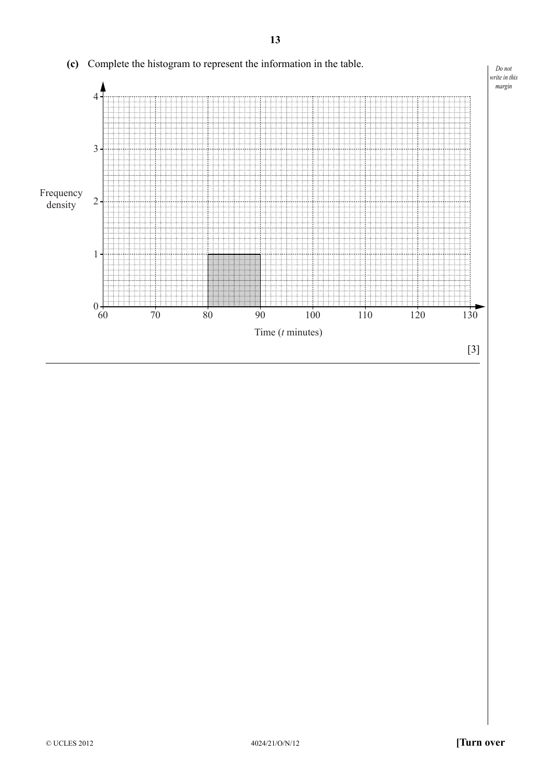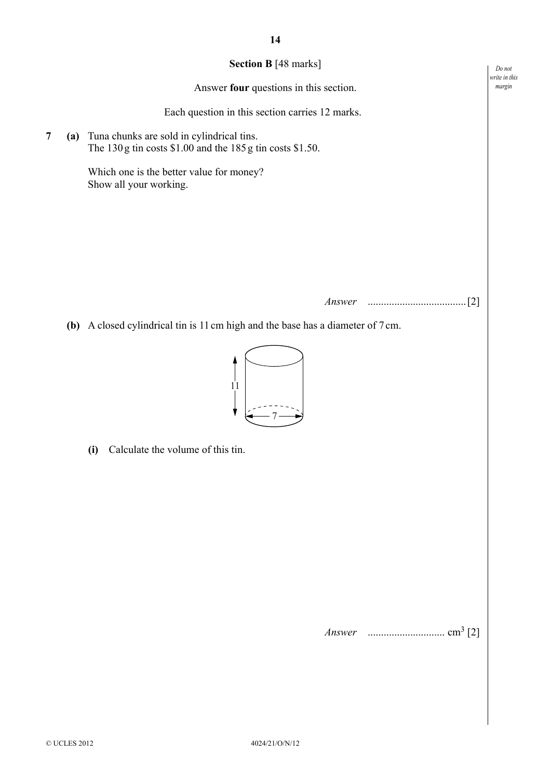# **Section B** [48 marks]

Answer **four** questions in this section.

Each question in this section carries 12 marks.

**7 (a)** Tuna chunks are sold in cylindrical tins. The 130 g tin costs \$1.00 and the 185 g tin costs \$1.50.

> Which one is the better value for money? Show all your working.

> > *Answer* .....................................[2]

 **(b)** A closed cylindrical tin is 11 cm high and the base has a diameter of 7 cm.



 **(i)** Calculate the volume of this tin.

**14**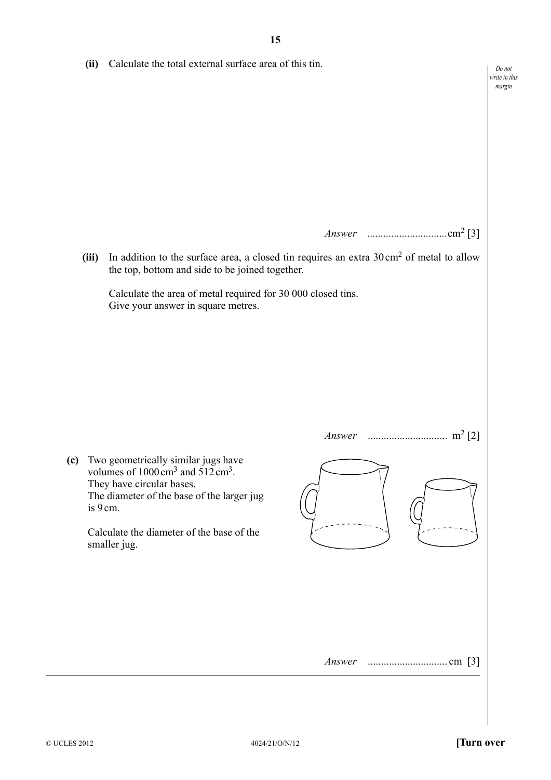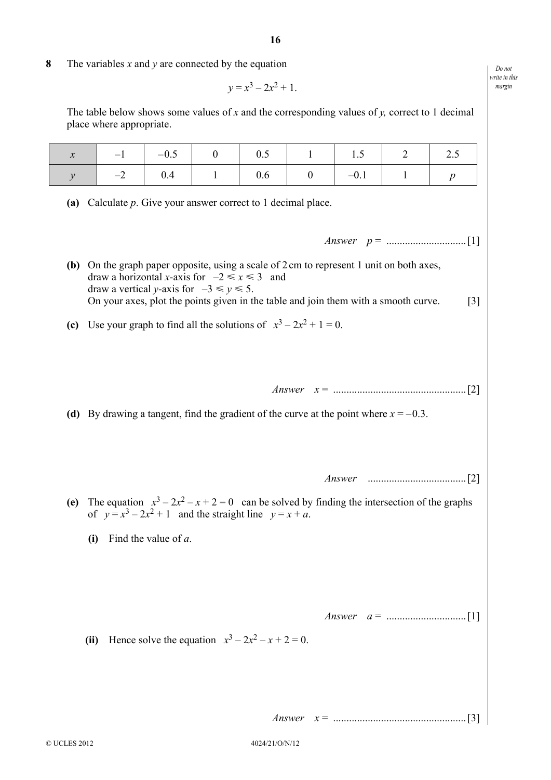- **16**
- **8** The variables *x* and *y* are connected by the equation

 $y = x^3 - 2x^2 + 1$ .

The table below shows some values of *x* and the corresponding values of *y,* correct to 1 decimal place where appropriate.

| $\boldsymbol{\mathcal{N}}$ |        | $\mathsf{v}.\mathsf{v}$     | $\mathsf{v}.\mathsf{v}$ | .  |  |
|----------------------------|--------|-----------------------------|-------------------------|----|--|
|                            | ⌒<br>- | $\mathsf{v}$ . $\mathsf{r}$ | ◡.◡                     | ◡. |  |

- **(a)** Calculate *p*. Give your answer correct to 1 decimal place.
- **(b)** On the graph paper opposite, using a scale of 2 cm to represent 1 unit on both axes, draw a horizontal *x*-axis for  $-2 \le x \le 3$  and draw a vertical *y*-axis for  $-3 \le y \le 5$ . On your axes, plot the points given in the table and join them with a smooth curve. [3]
- **(c)** Use your graph to find all the solutions of  $x^3 2x^2 + 1 = 0$ .

 *Answer x* = ..................................................[2]

**(d)** By drawing a tangent, find the gradient of the curve at the point where  $x = -0.3$ .

 *Answer* .....................................[2]

 *Answer p* = ..............................[1]

- **(e)** The equation  $x^3 2x^2 x + 2 = 0$  can be solved by finding the intersection of the graphs of  $y = x^3 - 2x^2 + 1$  and the straight line  $y = x + a$ .
	- **(i)** Find the value of *a*.

 *Answer a* = ..............................[1]

(ii) Hence solve the equation  $x^3 - 2x^2 - x + 2 = 0$ .

 *Answer x* = ..................................................[3]

© UCLES 2012

4024/21/O/N/12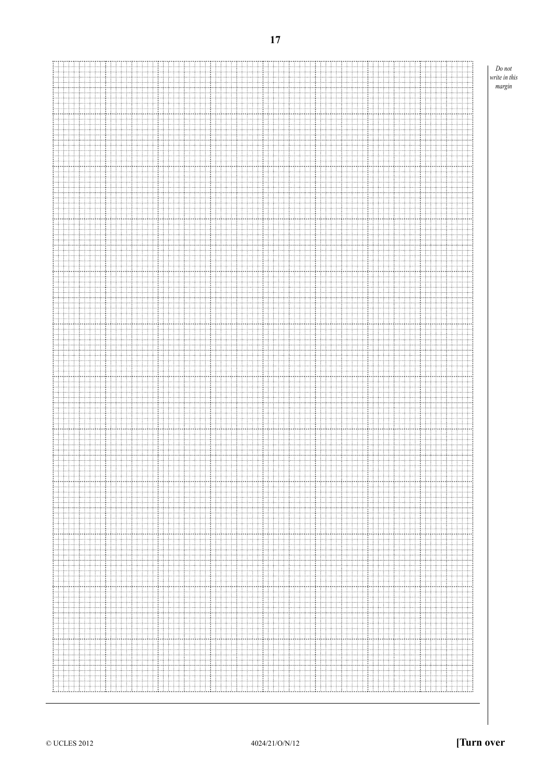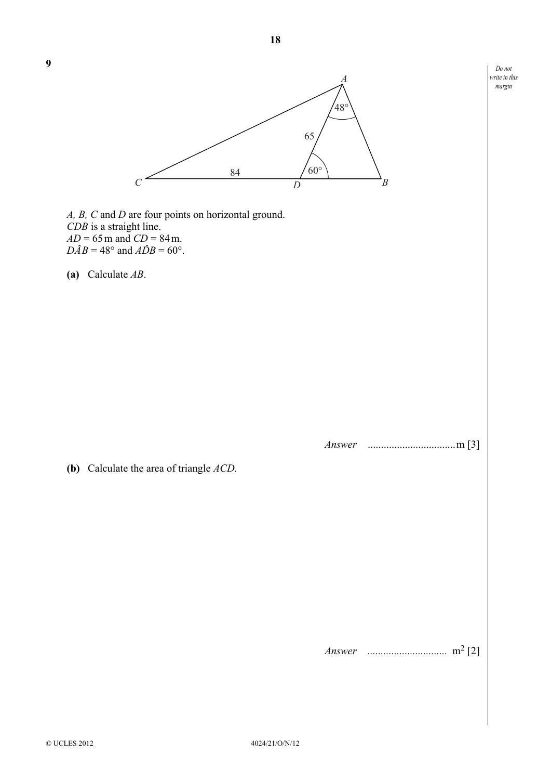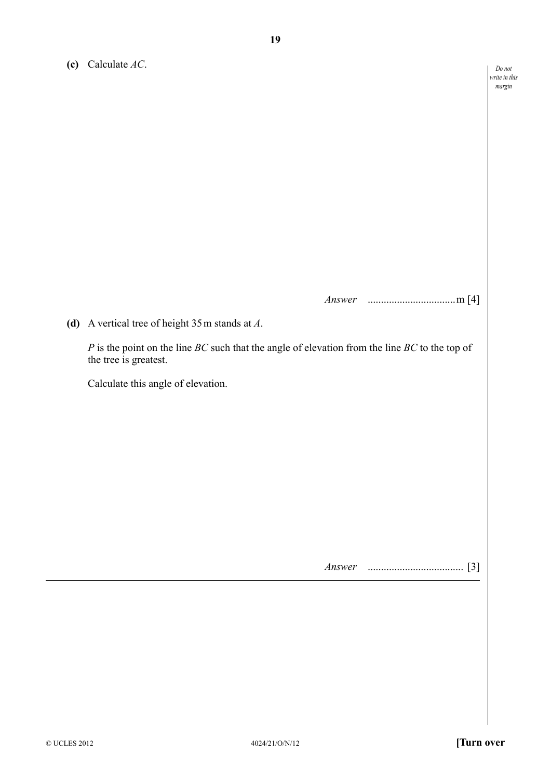*Answer* .................................m [4]

*Do not write in this margin*

 **(d)** A vertical tree of height 35 m stands at *A*.

*P* is the point on the line *BC* such that the angle of elevation from the line *BC* to the top of the tree is greatest.

Calculate this angle of elevation.

 *Answer* .................................... [3]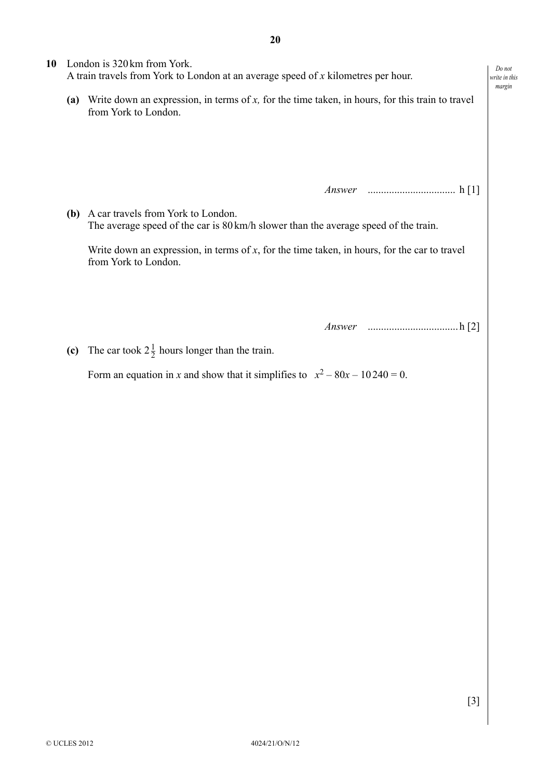# [3]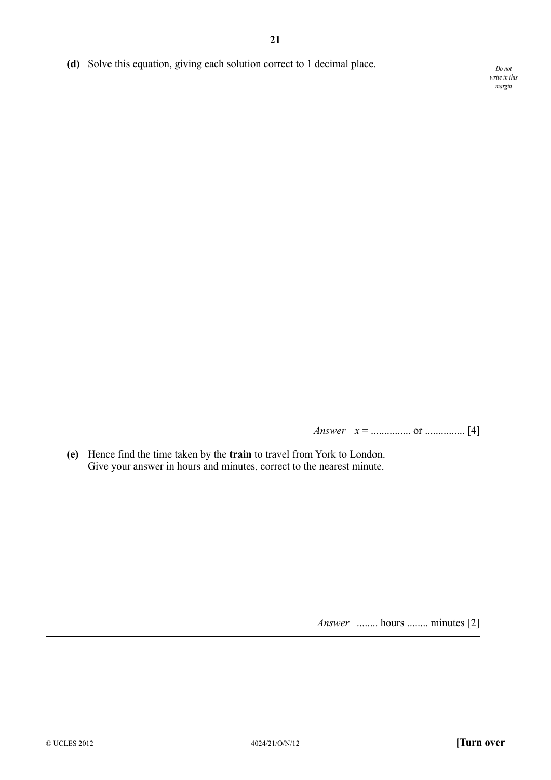**(d)** Solve this equation, giving each solution correct to 1 decimal place.

*Do not write in this margin*

 *Answer x* = ............... or ............... [4]

 **(e)** Hence find the time taken by the **train** to travel from York to London. Give your answer in hours and minutes, correct to the nearest minute.

 *Answer* ........ hours ........ minutes [2]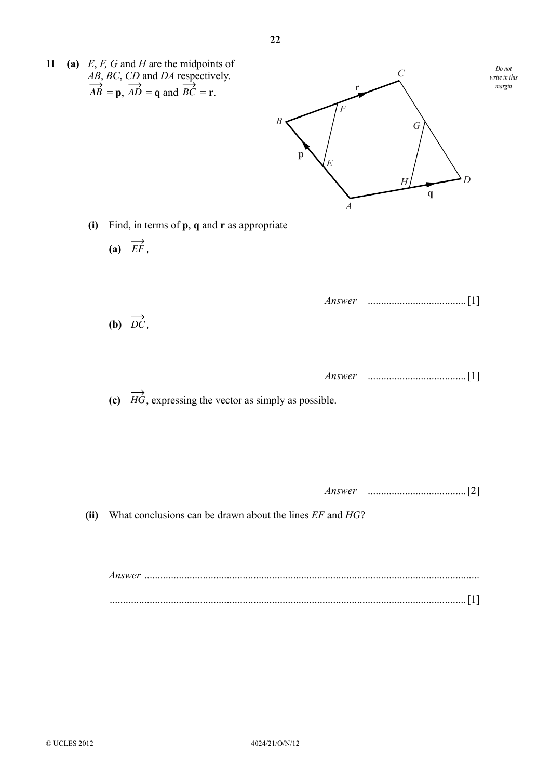*write in this*  **11 (a)** *E*, *F, G* and *H* are the midpoints of *AB*, *BC*, *CD* and *DA* respectively.  $\overrightarrow{AB} = \mathbf{p}, \overrightarrow{AD} = \mathbf{q} \text{ and } \overrightarrow{BC} = \mathbf{r}.$ *B D A C F E H G* **p q r (i)** Find, in terms of **p**, **q** and **r** as appropriate  $f$  **(a)**  $\overrightarrow{EF}$ , *Answer* .....................................[1] **(b)**  $\overrightarrow{DC}$ , *Answer* .....................................[1] **(c)**  $\overrightarrow{HG}$ , expressing the vector as simply as possible.  *Answer* .....................................[2]  **(ii)** What conclusions can be drawn about the lines *EF* and *HG*? *Answer* .............................................................................................................................. ......................................................................................................................................[1]

*Do not* 

*margin*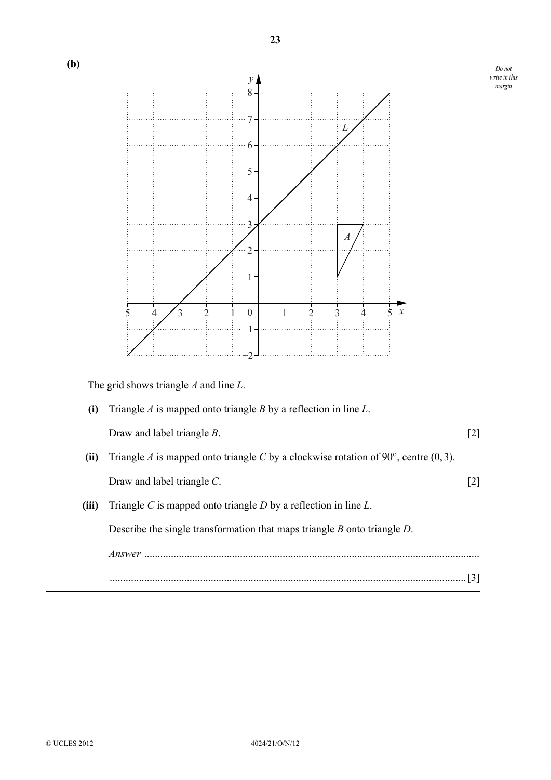